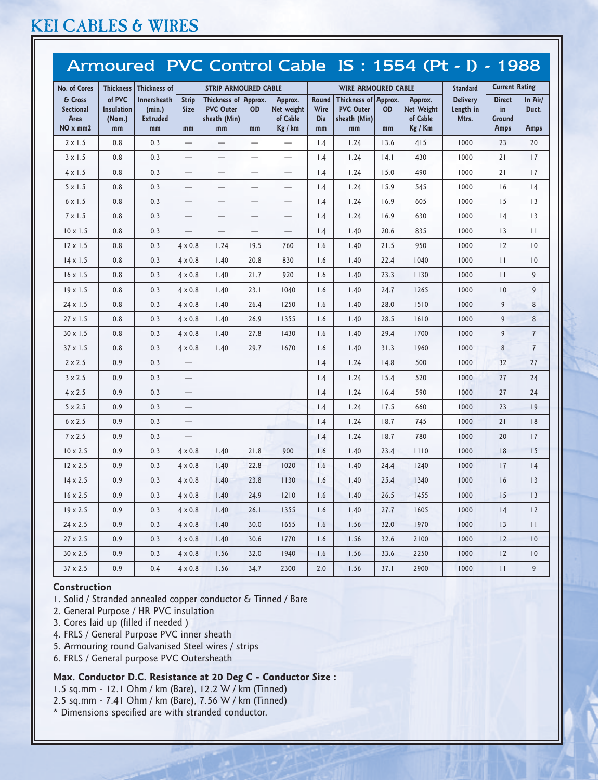# KEI CABLES & WIRES

|                                                                                                       |              |                                 |                                 |                                          |                                                                   |                          |                  |                                          |                                                                  |                     | Armoured PVC Control Cable IS: 1554 (Pt - I) - 1988 |                                                                  |                |
|-------------------------------------------------------------------------------------------------------|--------------|---------------------------------|---------------------------------|------------------------------------------|-------------------------------------------------------------------|--------------------------|------------------|------------------------------------------|------------------------------------------------------------------|---------------------|-----------------------------------------------------|------------------------------------------------------------------|----------------|
| <b>No. of Cores</b><br><b>Thickness</b><br>of PVC<br>& Cross<br><b>Sectional</b><br><b>Insulation</b> |              | Thickness of<br>Innersheath     | <b>Strip</b><br><b>Size</b>     | Thickness of Approx.<br><b>PVC Outer</b> | <b>STRIP ARMOURED CABLE</b><br>Approx.<br>Net weight<br><b>OD</b> |                          | Round<br>Wire    | Thickness of Approx.<br><b>PVC Outer</b> | <b>WIRE ARMOURED CABLE</b><br>Approx.<br>Net Weight<br><b>OD</b> |                     | <b>Standard</b><br><b>Delivery</b><br>Length in     | <b>Current Rating</b><br><b>Direct</b><br>In Air/<br>in<br>Duct. |                |
| Area<br>NO x mm2                                                                                      | (Nom.)<br>mm | (min.)<br><b>Extruded</b><br>mm | mm                              | sheath (Min)<br>mm                       | mm                                                                | of Cable<br>Kg / km      | <b>Dia</b><br>mm | sheath (Min)<br>mm                       | mm                                                               | of Cable<br>Kg / Km | Mtrs.                                               | Ground<br><b>Amps</b>                                            | Amps           |
| $2 \times 1.5$                                                                                        | 0.8          | 0.3                             | $\overline{\phantom{0}}$        |                                          |                                                                   | $\overline{\phantom{0}}$ | 1.4              | 1.24                                     | 13.6                                                             | 415                 | 1000                                                | 23                                                               | 20             |
| $3 \times 1.5$                                                                                        | 0.8          | 0.3                             | $\overline{\phantom{0}}$        |                                          | —                                                                 | $\overline{\phantom{0}}$ | 1.4              | 1.24                                     | 14.1                                                             | 430                 | 1000                                                | 21                                                               | 17             |
| $4 \times 1.5$                                                                                        | 0.8          | 0.3                             |                                 |                                          | $\overbrace{\phantom{123221111}}$                                 | $\overline{\phantom{0}}$ | 1.4              | 1.24                                     | 15.0                                                             | 490                 | 1000                                                | 21                                                               | 17             |
| $5 \times 1.5$                                                                                        | 0.8          | 0.3                             |                                 | $\qquad \qquad$                          | $\overline{\phantom{0}}$                                          | $\overline{\phantom{0}}$ | 1.4              | 1.24                                     | 15.9                                                             | 545                 | 1000                                                | 16                                                               | 4              |
| $6 \times 1.5$                                                                                        | 0.8          | 0.3                             | $\overline{\phantom{0}}$        |                                          | $\overline{\phantom{0}}$                                          |                          | 1.4              | 1.24                                     | 16.9                                                             | 605                 | 1000                                                | 15                                                               | 13             |
| $7 \times 1.5$                                                                                        | 0.8          | 0.3                             |                                 |                                          | $\overline{\phantom{0}}$                                          | $\overline{\phantom{0}}$ | 1.4              | 1.24                                     | 16.9                                                             | 630                 | 1000                                                | 4                                                                | 13             |
| $10 \times 1.5$                                                                                       | 0.8          | 0.3                             |                                 |                                          |                                                                   |                          | 1.4              | 1.40                                     | 20.6                                                             | 835                 | 1000                                                | 13                                                               | $\mathbf{1}$   |
| $12 \times 1.5$                                                                                       | 0.8          | 0.3                             | $4 \times 0.8$                  | 1.24                                     | 19.5                                                              | 760                      | 1.6              | 1.40                                     | 21.5                                                             | 950                 | 1000                                                | 12                                                               | 10             |
| $14 \times 1.5$                                                                                       | 0.8          | 0.3                             | $4 \times 0.8$                  | 1.40                                     | 20.8                                                              | 830                      | 1.6              | 1.40                                     | 22.4                                                             | 1040                | 1000                                                | $\mathbf{1}$                                                     | 10             |
| $16 \times 1.5$                                                                                       | 0.8          | 0.3                             | $4 \times 0.8$                  | 1.40                                     | 21.7                                                              | 920                      | 1.6              | 1.40                                     | 23.3                                                             | 1130                | 1000                                                | $\mathbf{1}$                                                     | 9              |
| $19 \times 1.5$                                                                                       | 0.8          | 0.3                             | $4 \times 0.8$                  | 1.40                                     | 23.1                                                              | 1040                     | 1.6              | 1.40                                     | 24.7                                                             | 1265                | 1000                                                | 10                                                               | 9              |
| $24 \times 1.5$                                                                                       | 0.8          | 0.3                             | $4 \times 0.8$                  | 1.40                                     | 26.4                                                              | 1250                     | 1.6              | 1.40                                     | 28.0                                                             | 1510                | 1000                                                | 9                                                                | 8              |
| $27 \times 1.5$                                                                                       | 0.8          | 0.3                             | $4 \times 0.8$                  | 1.40                                     | 26.9                                                              | 1355                     | 1.6              | 1.40                                     | 28.5                                                             | 1610                | 1000                                                | 9                                                                | 8              |
| $30 \times 1.5$                                                                                       | 0.8          | 0.3                             | $4 \times 0.8$                  | 1.40                                     | 27.8                                                              | 1430                     | 1.6              | 1.40                                     | 29.4                                                             | 1700                | 1000                                                | 9                                                                | $\sqrt{7}$     |
| $37 \times 1.5$                                                                                       | 0.8          | 0.3                             | $4 \times 0.8$                  | 1.40                                     | 29.7                                                              | 1670                     | 1.6              | 1.40                                     | 31.3                                                             | 1960                | 1000                                                | 8                                                                | $\overline{7}$ |
| $2 \times 2.5$                                                                                        | 0.9          | 0.3                             |                                 |                                          |                                                                   |                          | 1.4              | 1.24                                     | 14.8                                                             | 500                 | 1000                                                | 32                                                               | 27             |
| $3 \times 2.5$                                                                                        | 0.9          | 0.3                             |                                 |                                          |                                                                   |                          | 1.4              | 1.24                                     | 15.4                                                             | 520                 | 1000                                                | 27                                                               | 24             |
| $4 \times 2.5$                                                                                        | 0.9          | 0.3                             | $\overline{\phantom{m}}$        |                                          |                                                                   |                          | 1.4              | 1.24                                     | 16.4                                                             | 590                 | 1000                                                | 27                                                               | 24             |
| $5 \times 2.5$                                                                                        | 0.9          | 0.3                             |                                 |                                          |                                                                   |                          | 1.4              | 1.24                                     | 17.5                                                             | 660                 | 1000                                                | 23                                                               | 19             |
| $6 \times 2.5$                                                                                        | 0.9          | 0.3                             | $\qquad \qquad -$               |                                          |                                                                   |                          | 1.4              | 1.24                                     | 18.7                                                             | 745                 | 1000                                                | 21                                                               | 18             |
| $7 \times 2.5$                                                                                        | 0.9          | 0.3                             | $\overbrace{\phantom{1232211}}$ |                                          |                                                                   |                          | 1.4              | 1.24                                     | 18.7                                                             | 780                 | 1000                                                | 20                                                               | 17             |
| $10 \times 2.5$                                                                                       | 0.9          | 0.3                             | $4 \times 0.8$                  | 1.40                                     | 21.8                                                              | 900                      | 1.6              | 1.40                                     | 23.4                                                             | 1110                | 1000                                                | 18                                                               | 15             |
| $12 \times 2.5$                                                                                       | 0.9          | 0.3                             | $4 \times 0.8$                  | 1.40                                     | 22.8                                                              | 1020                     | 1.6              | 1.40                                     | 24.4                                                             | 1240                | 1000                                                | 17                                                               | 4              |
| $14 \times 2.5$                                                                                       | 0.9          | 0.3                             | $4 \times 0.8$                  | 1.40                                     | 23.8                                                              | 1130                     | 1.6              | 1.40                                     | 25.4                                                             | 1340                | 1000                                                | 16                                                               | 13             |
| $16 \times 2.5$                                                                                       | 0.9          | 0.3                             | $4 \times 0.8$                  | 1.40                                     | 24.9                                                              | $1210$                   | 1.6              | 1.40                                     | 26.5                                                             | 1455                | 1000                                                | 15                                                               | 13             |
| $19 \times 2.5$                                                                                       | 0.9          | 0.3                             | $4 \times 0.8$                  | 1.40                                     | 26.1                                                              | 1355                     | 1.6              | 1.40                                     | 27.7                                                             | 1605                | 1000                                                | 4                                                                | 12             |
| 24 x 2.5                                                                                              | 0.9          | 0.3                             | $4 \times 0.8$                  | 1.40                                     | 30.0                                                              | 1655                     | 1.6              | 1.56                                     | 32.0                                                             | 1970                | 1000                                                | 13                                                               | $\perp$        |
| $27 \times 2.5$                                                                                       | 0.9          | 0.3                             | $4 \times 0.8$                  | 1.40                                     | 30.6                                                              | 1770                     | 1.6              | 1.56                                     | 32.6                                                             | 2100                | 1000                                                | 2                                                                | 10             |
| $30 \times 2.5$                                                                                       | 0.9          | 0.3                             | $4 \times 0.8$                  | 1.56                                     | 32.0                                                              | 1940                     | 1.6              | 1.56                                     | 33.6                                                             | 2250                | 1000                                                | 12                                                               | 10             |
| 37 x 2.5                                                                                              | 0.9          | 0.4                             | $4 \times 0.8$                  | 1.56                                     | 34.7                                                              | 2300                     | 2.0              | 1.56                                     | 37.1                                                             | 2900                | 1000                                                | $\mathbf{H}$                                                     | 9              |

#### Construction

- 1. Solid / Stranded annealed copper conductor & Tinned / Bare
- 2. General Purpose / HR PVC insulation
- 3. Cores laid up (filled if needed )
- 4. FRLS / General Purpose PVC inner sheath
- 5. Armouring round Galvanised Steel wires / strips
- 6. FRLS / General purpose PVC Outersheath

## Max. Conductor D.C. Resistance at 20 Deg C - Conductor Size :

- 1.5 sq.mm 12.1 Ohm / km (Bare), 12.2 W / km (Tinned)
- 2.5 sq.mm 7.41 Ohm / km (Bare), 7.56 W / km (Tinned)
- \* Dimensions specified are with stranded conductor.